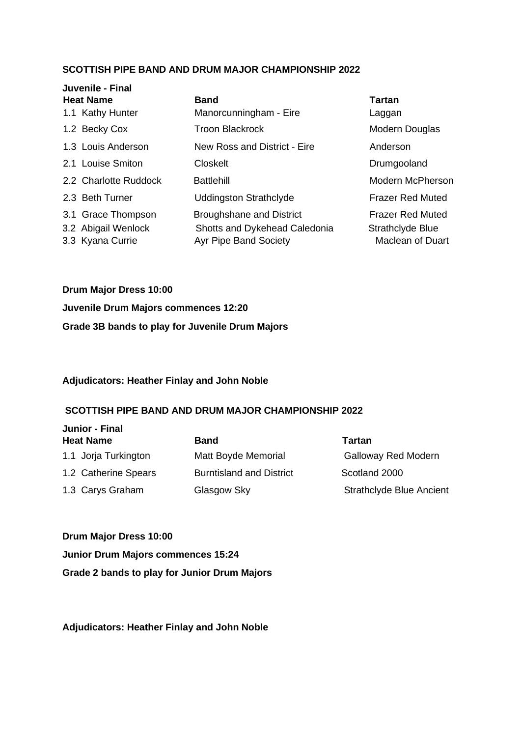| Juvenile - Final<br><b>Heat Name</b> |                       | <b>Band</b>                     | Tartan                  |
|--------------------------------------|-----------------------|---------------------------------|-------------------------|
|                                      |                       |                                 |                         |
| 1.1 Kathy Hunter                     |                       | Manorcunningham - Eire          | Laggan                  |
| 1.2 Becky Cox                        |                       | <b>Troon Blackrock</b>          | Modern Douglas          |
|                                      | 1.3 Louis Anderson    | New Ross and District - Eire    | Anderson                |
|                                      | 2.1 Louise Smiton     | Closkelt                        | Drumgooland             |
|                                      | 2.2 Charlotte Ruddock | <b>Battlehill</b>               | Modern McPherson        |
| 2.3 Beth Turner                      |                       | <b>Uddingston Strathclyde</b>   | <b>Frazer Red Muted</b> |
|                                      | 3.1 Grace Thompson    | <b>Broughshane and District</b> | <b>Frazer Red Muted</b> |
|                                      | 3.2 Abigail Wenlock   | Shotts and Dykehead Caledonia   | Strathclyde Blue        |
| 3.3 Kyana Currie                     |                       | <b>Ayr Pipe Band Society</b>    | <b>Maclean of Duart</b> |

**Drum Major Dress 10:00 Juvenile Drum Majors commences 12:20 Grade 3B bands to play for Juvenile Drum Majors** 

#### **Adjudicators: Heather Finlay and John Noble**

#### **SCOTTISH PIPE BAND AND DRUM MAJOR CHAMPIONSHIP 2022**

| Junior - Final       |                                 |                                 |  |  |
|----------------------|---------------------------------|---------------------------------|--|--|
| <b>Heat Name</b>     | Band                            | Tartan                          |  |  |
| 1.1 Jorja Turkington | Matt Boyde Memorial             | <b>Galloway Red Modern</b>      |  |  |
| 1.2 Catherine Spears | <b>Burntisland and District</b> | Scotland 2000                   |  |  |
| 1.3 Carys Graham     | Glasgow Sky                     | <b>Strathclyde Blue Ancient</b> |  |  |

**Drum Major Dress 10:00 Junior Drum Majors commences 15:24 Grade 2 bands to play for Junior Drum Majors** 

**Adjudicators: Heather Finlay and John Noble**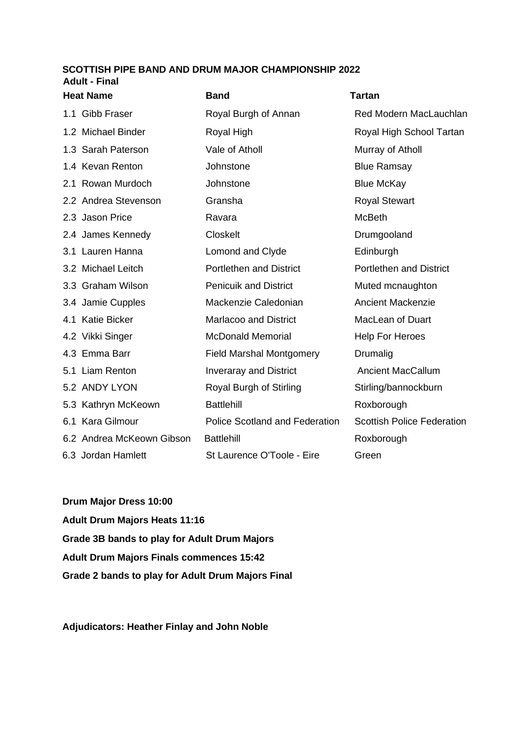## **SCOTTISH PIPE BAND AND DRUM MAJOR CHAMPIONSHIP 2022 Adult - Final**

| <b>Heat Name</b> |                           | <b>Band</b>                           | <b>Tartan</b>                     |
|------------------|---------------------------|---------------------------------------|-----------------------------------|
|                  | 1.1 Gibb Fraser           | Royal Burgh of Annan                  | Red Modern MacLauchlan            |
|                  | 1.2 Michael Binder        | Royal High                            | Royal High School Tartan          |
|                  | 1.3 Sarah Paterson        | Vale of Atholl                        | Murray of Atholl                  |
|                  | 1.4 Kevan Renton          | Johnstone                             | <b>Blue Ramsay</b>                |
|                  | 2.1 Rowan Murdoch         | Johnstone                             | <b>Blue McKay</b>                 |
|                  | 2.2 Andrea Stevenson      | Gransha                               | <b>Royal Stewart</b>              |
|                  | 2.3 Jason Price           | Ravara                                | <b>McBeth</b>                     |
|                  | 2.4 James Kennedy         | <b>Closkelt</b>                       | Drumgooland                       |
|                  | 3.1 Lauren Hanna          | Lomond and Clyde                      | Edinburgh                         |
|                  | 3.2 Michael Leitch        | <b>Portlethen and District</b>        | Portlethen and District           |
|                  | 3.3 Graham Wilson         | <b>Penicuik and District</b>          | Muted mcnaughton                  |
|                  | 3.4 Jamie Cupples         | Mackenzie Caledonian                  | <b>Ancient Mackenzie</b>          |
|                  | 4.1 Katie Bicker          | <b>Marlacoo and District</b>          | MacLean of Duart                  |
|                  | 4.2 Vikki Singer          | <b>McDonald Memorial</b>              | <b>Help For Heroes</b>            |
|                  | 4.3 Emma Barr             | <b>Field Marshal Montgomery</b>       | Drumalig                          |
|                  | 5.1 Liam Renton           | <b>Inveraray and District</b>         | <b>Ancient MacCallum</b>          |
|                  | 5.2 ANDY LYON             | Royal Burgh of Stirling               | Stirling/bannockburn              |
|                  | 5.3 Kathryn McKeown       | <b>Battlehill</b>                     | Roxborough                        |
|                  | 6.1 Kara Gilmour          | <b>Police Scotland and Federation</b> | <b>Scottish Police Federation</b> |
|                  | 6.2 Andrea McKeown Gibson | <b>Battlehill</b>                     | Roxborough                        |
|                  | 6.3 Jordan Hamlett        | St Laurence O'Toole - Eire            | Green                             |

**Drum Major Dress 10:00 Adult Drum Majors Heats 11:16 Grade 3B bands to play for Adult Drum Majors Adult Drum Majors Finals commences 15:42 Grade 2 bands to play for Adult Drum Majors Final** 

**Adjudicators: Heather Finlay and John Noble**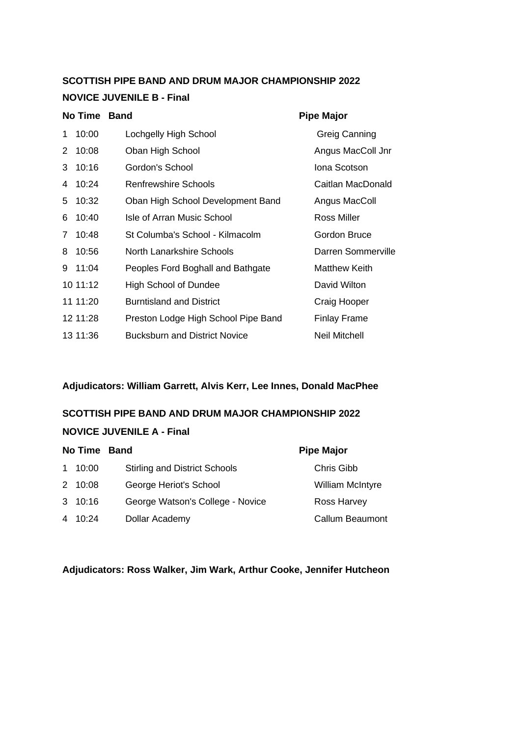# **SCOTTISH PIPE BAND AND DRUM MAJOR CHAMPIONSHIP 2022 NOVICE JUVENILE B - Final**

|                       | <b>No Time</b> | <b>Band</b>                          | <b>Pipe Major</b>    |
|-----------------------|----------------|--------------------------------------|----------------------|
| 1.                    | 10:00          | Lochgelly High School                | Greig Canning        |
| $\mathbf{2}^{\prime}$ | 10:08          | Oban High School                     | Angus MacColl Jnr    |
| 3                     | 10:16          | Gordon's School                      | Iona Scotson         |
| 4                     | 10:24          | Renfrewshire Schools                 | Caitlan MacDonald    |
| 5                     | 10:32          | Oban High School Development Band    | Angus MacColl        |
| 6                     | 10:40          | Isle of Arran Music School           | Ross Miller          |
| $7^{\circ}$           | 10:48          | St Columba's School - Kilmacolm      | <b>Gordon Bruce</b>  |
| 8                     | 10:56          | North Lanarkshire Schools            | Darren Sommerville   |
| 9                     | 11:04          | Peoples Ford Boghall and Bathgate    | <b>Matthew Keith</b> |
|                       | 10 11:12       | <b>High School of Dundee</b>         | David Wilton         |
|                       | 11 11:20       | <b>Burntisland and District</b>      | Craig Hooper         |
|                       | 12 11:28       | Preston Lodge High School Pipe Band  | Finlay Frame         |
|                       | 13 11:36       | <b>Bucksburn and District Novice</b> | Neil Mitchell        |
|                       |                |                                      |                      |

**Adjudicators: William Garrett, Alvis Kerr, Lee Innes, Donald MacPhee**

# **SCOTTISH PIPE BAND AND DRUM MAJOR CHAMPIONSHIP 2022**

## **NOVICE JUVENILE A - Final**

| No Time Band |                                      | <b>Pipe Major</b>       |
|--------------|--------------------------------------|-------------------------|
| 1 10:00      | <b>Stirling and District Schools</b> | Chris Gibb              |
| 2 10:08      | George Heriot's School               | <b>William McIntyre</b> |
| 3 10:16      | George Watson's College - Novice     | Ross Harvey             |
| 4 10:24      | Dollar Academy                       | Callum Beaumont         |

**Adjudicators: Ross Walker, Jim Wark, Arthur Cooke, Jennifer Hutcheon**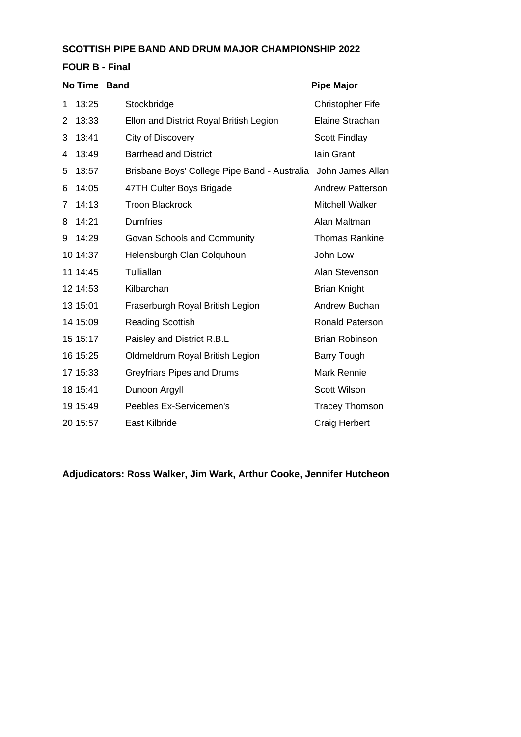| <b>FOUR B - Final</b> |  |
|-----------------------|--|
|-----------------------|--|

|   | No Time Band |                                              | <b>Pipe Major</b>       |
|---|--------------|----------------------------------------------|-------------------------|
| 1 | 13:25        | Stockbridge                                  | <b>Christopher Fife</b> |
| 2 | 13:33        | Ellon and District Royal British Legion      | Elaine Strachan         |
| 3 | 13:41        | City of Discovery                            | <b>Scott Findlay</b>    |
| 4 | 13:49        | <b>Barrhead and District</b>                 | lain Grant              |
| 5 | 13:57        | Brisbane Boys' College Pipe Band - Australia | John James Allan        |
| 6 | 14:05        | 47TH Culter Boys Brigade                     | Andrew Patterson        |
| 7 | 14:13        | <b>Troon Blackrock</b>                       | <b>Mitchell Walker</b>  |
| 8 | 14:21        | <b>Dumfries</b>                              | Alan Maltman            |
| 9 | 14:29        | Govan Schools and Community                  | <b>Thomas Rankine</b>   |
|   | 10 14:37     | Helensburgh Clan Colquhoun                   | John Low                |
|   | 11 14:45     | Tulliallan                                   | Alan Stevenson          |
|   | 12 14:53     | Kilbarchan                                   | <b>Brian Knight</b>     |
|   | 13 15:01     | Fraserburgh Royal British Legion             | Andrew Buchan           |
|   | 14 15:09     | <b>Reading Scottish</b>                      | <b>Ronald Paterson</b>  |
|   | 15 15:17     | Paisley and District R.B.L                   | <b>Brian Robinson</b>   |
|   | 16 15:25     | Oldmeldrum Royal British Legion              | <b>Barry Tough</b>      |
|   | 17 15:33     | <b>Greyfriars Pipes and Drums</b>            | Mark Rennie             |
|   | 18 15:41     | Dunoon Argyll                                | Scott Wilson            |
|   | 19 15:49     | Peebles Ex-Servicemen's                      | <b>Tracey Thomson</b>   |
|   | 20 15:57     | East Kilbride                                | Craig Herbert           |

**Adjudicators: Ross Walker, Jim Wark, Arthur Cooke, Jennifer Hutcheon**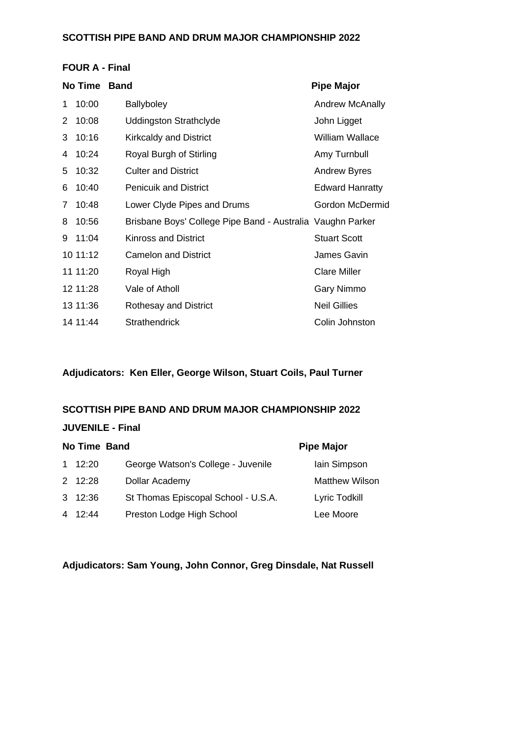#### **FOUR A - Final**

|              | <b>No Time</b> | <b>Band</b>                                                | <b>Pipe Major</b>      |
|--------------|----------------|------------------------------------------------------------|------------------------|
| 1            | 10:00          | <b>Ballyboley</b>                                          | <b>Andrew McAnally</b> |
| 2            | 10:08          | <b>Uddingston Strathclyde</b>                              | John Ligget            |
| 3            | 10:16          | <b>Kirkcaldy and District</b>                              | <b>William Wallace</b> |
| 4            | 10:24          | Royal Burgh of Stirling                                    | Amy Turnbull           |
| 5            | 10:32          | <b>Culter and District</b>                                 | <b>Andrew Byres</b>    |
| 6            | 10:40          | <b>Penicuik and District</b>                               | <b>Edward Hanratty</b> |
| $\mathbf{7}$ | 10:48          | Lower Clyde Pipes and Drums                                | Gordon McDermid        |
| 8            | 10:56          | Brisbane Boys' College Pipe Band - Australia Vaughn Parker |                        |
| 9            | 11:04          | Kinross and District                                       | <b>Stuart Scott</b>    |
|              | 1011:12        | <b>Camelon and District</b>                                | James Gavin            |
|              | 11 11:20       | Royal High                                                 | <b>Clare Miller</b>    |
|              | 12 11:28       | Vale of Atholl                                             | Gary Nimmo             |
|              | 13 11:36       | Rothesay and District                                      | <b>Neil Gillies</b>    |
|              | 14 11:44       | <b>Strathendrick</b>                                       | Colin Johnston         |

## **Adjudicators: Ken Eller, George Wilson, Stuart Coils, Paul Turner**

#### **SCOTTISH PIPE BAND AND DRUM MAJOR CHAMPIONSHIP 2022**

| <b>JUVENILE - Final</b>           |                                     |                       |  |  |
|-----------------------------------|-------------------------------------|-----------------------|--|--|
| No Time Band<br><b>Pipe Major</b> |                                     |                       |  |  |
| $1 \quad 12:20$                   | George Watson's College - Juvenile  | lain Simpson          |  |  |
| $2 \quad 12:28$                   | Dollar Academy                      | <b>Matthew Wilson</b> |  |  |
| 3 12:36                           | St Thomas Episcopal School - U.S.A. | Lyric Todkill         |  |  |
| 4 12:44                           | Preston Lodge High School           | Lee Moore             |  |  |

**Adjudicators: Sam Young, John Connor, Greg Dinsdale, Nat Russell**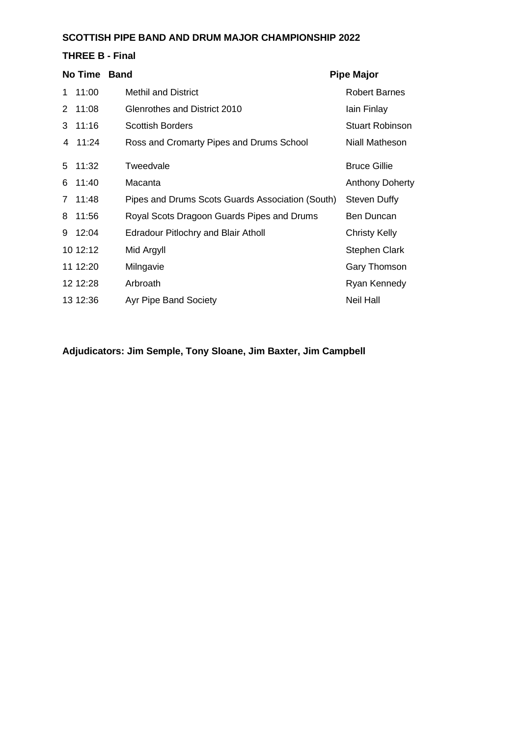### **THREE B - Final**

|    | No Time  | <b>Band</b>                                      | <b>Pipe Major</b>      |
|----|----------|--------------------------------------------------|------------------------|
| 1. | 11:00    | <b>Methil and District</b>                       | <b>Robert Barnes</b>   |
| 2  | 11:08    | Glenrothes and District 2010                     | lain Finlay            |
| 3  | 11:16    | <b>Scottish Borders</b>                          | <b>Stuart Robinson</b> |
|    | 4 11:24  | Ross and Cromarty Pipes and Drums School         | Niall Matheson         |
| 5  | 11:32    | Tweedvale                                        | <b>Bruce Gillie</b>    |
| 6  | 11:40    | Macanta                                          | <b>Anthony Doherty</b> |
| 7  | 11:48    | Pipes and Drums Scots Guards Association (South) | <b>Steven Duffy</b>    |
| 8  | 11:56    | Royal Scots Dragoon Guards Pipes and Drums       | Ben Duncan             |
|    | 9 12:04  | <b>Edradour Pitlochry and Blair Atholl</b>       | <b>Christy Kelly</b>   |
|    | 10 12:12 | Mid Argyll                                       | Stephen Clark          |
|    | 11 12:20 | Milngavie                                        | Gary Thomson           |
|    | 12 12:28 | Arbroath                                         | Ryan Kennedy           |
|    | 13 12:36 | <b>Ayr Pipe Band Society</b>                     | <b>Neil Hall</b>       |

**Adjudicators: Jim Semple, Tony Sloane, Jim Baxter, Jim Campbell**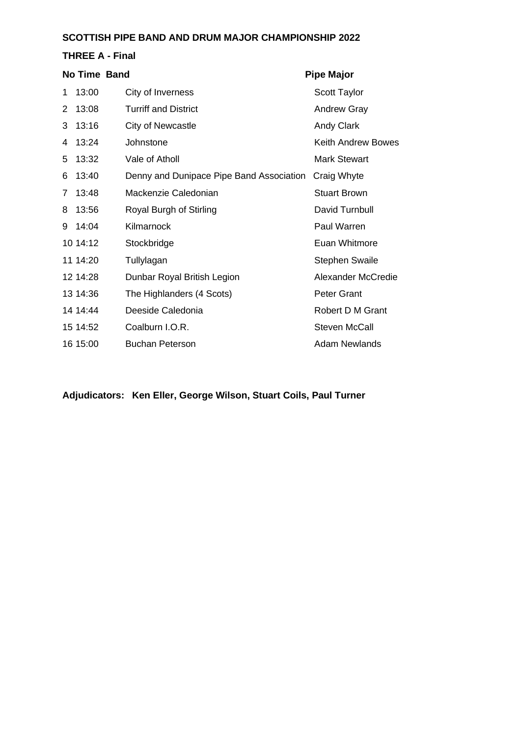#### **THREE A - Final**

|   | No Time Band |                                          | <b>Pipe Major</b>         |
|---|--------------|------------------------------------------|---------------------------|
| 1 | 13:00        | City of Inverness                        | <b>Scott Taylor</b>       |
| 2 | 13:08        | <b>Turriff and District</b>              | <b>Andrew Gray</b>        |
| 3 | 13:16        | City of Newcastle                        | <b>Andy Clark</b>         |
| 4 | 13:24        | Johnstone                                | Keith Andrew Bowes        |
| 5 | 13:32        | Vale of Atholl                           | Mark Stewart              |
| 6 | 13:40        | Denny and Dunipace Pipe Band Association | Craig Whyte               |
| 7 | 13:48        | Mackenzie Caledonian                     | <b>Stuart Brown</b>       |
| 8 | 13:56        | Royal Burgh of Stirling                  | David Turnbull            |
| 9 | 14:04        | Kilmarnock                               | Paul Warren               |
|   | 10 14:12     | Stockbridge                              | Euan Whitmore             |
|   | 11 14:20     | Tullylagan                               | <b>Stephen Swaile</b>     |
|   | 12 14:28     | Dunbar Royal British Legion              | <b>Alexander McCredie</b> |
|   | 13 14:36     | The Highlanders (4 Scots)                | Peter Grant               |
|   | 14 14:44     | Deeside Caledonia                        | Robert D M Grant          |
|   | 15 14:52     | Coalburn I.O.R.                          | <b>Steven McCall</b>      |
|   | 16 15:00     | <b>Buchan Peterson</b>                   | <b>Adam Newlands</b>      |

**Adjudicators: Ken Eller, George Wilson, Stuart Coils, Paul Turner**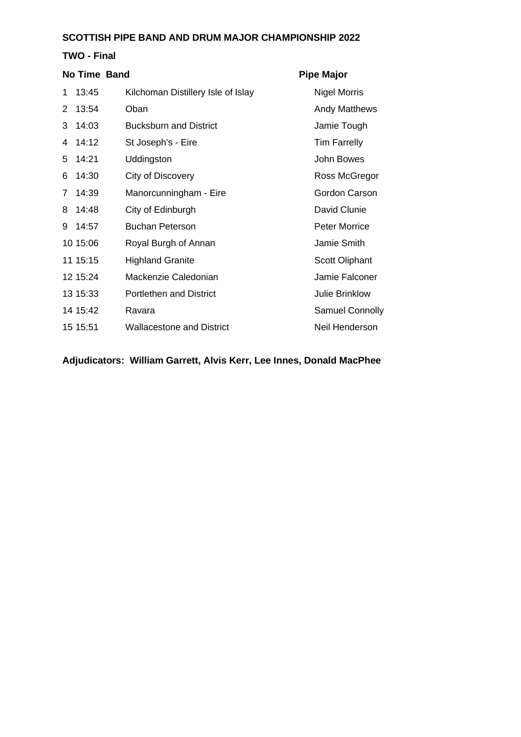|   | TWO - Final  |                                    |                       |  |
|---|--------------|------------------------------------|-----------------------|--|
|   | No Time Band |                                    | <b>Pipe Major</b>     |  |
| 1 | 13:45        | Kilchoman Distillery Isle of Islay | <b>Nigel Morris</b>   |  |
| 2 | 13:54        | Oban                               | <b>Andy Matthews</b>  |  |
| 3 | 14:03        | <b>Bucksburn and District</b>      | Jamie Tough           |  |
| 4 | 14:12        | St Joseph's - Eire                 | <b>Tim Farrelly</b>   |  |
| 5 | 14:21        | Uddingston                         | John Bowes            |  |
| 6 | 14:30        | City of Discovery                  | Ross McGregor         |  |
| 7 | 14:39        | Manorcunningham - Eire             | Gordon Carson         |  |
| 8 | 14:48        | City of Edinburgh                  | David Clunie          |  |
| 9 | 14:57        | <b>Buchan Peterson</b>             | <b>Peter Morrice</b>  |  |
|   | 10 15:06     | Royal Burgh of Annan               | Jamie Smith           |  |
|   | 11 15:15     | <b>Highland Granite</b>            | Scott Oliphant        |  |
|   | 12 15:24     | Mackenzie Caledonian               | Jamie Falconer        |  |
|   | 13 15:33     | <b>Portlethen and District</b>     | <b>Julie Brinklow</b> |  |
|   | 14 15:42     | Ravara                             | Samuel Connolly       |  |
|   | 15 15:51     | <b>Wallacestone and District</b>   | Neil Henderson        |  |

**Adjudicators: William Garrett, Alvis Kerr, Lee Innes, Donald MacPhee**